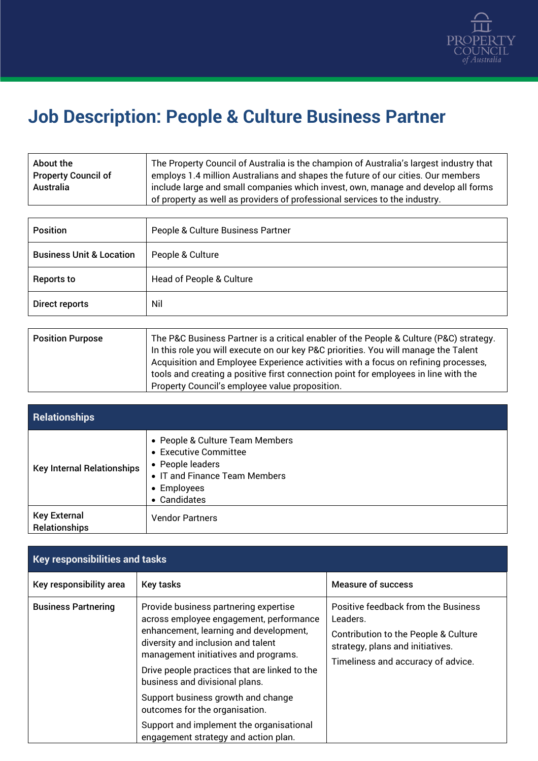

## **Job Description: People & Culture Business Partner**

| About the                  | The Property Council of Australia is the champion of Australia's largest industry that |
|----------------------------|----------------------------------------------------------------------------------------|
| <b>Property Council of</b> | employs 1.4 million Australians and shapes the future of our cities. Our members       |
| Australia                  | include large and small companies which invest, own, manage and develop all forms      |
|                            | of property as well as providers of professional services to the industry.             |

| <b>Position</b>                     | People & Culture Business Partner |
|-------------------------------------|-----------------------------------|
| <b>Business Unit &amp; Location</b> | People & Culture                  |
| <b>Reports to</b>                   | Head of People & Culture          |
| Direct reports                      | Nil                               |

| <b>Position Purpose</b> | The P&C Business Partner is a critical enabler of the People & Culture (P&C) strategy.<br>In this role you will execute on our key P&C priorities. You will manage the Talent<br>Acquisition and Employee Experience activities with a focus on refining processes,<br>tools and creating a positive first connection point for employees in line with the |
|-------------------------|------------------------------------------------------------------------------------------------------------------------------------------------------------------------------------------------------------------------------------------------------------------------------------------------------------------------------------------------------------|
|                         | Property Council's employee value proposition.                                                                                                                                                                                                                                                                                                             |

| <b>Relationships</b>                        |                                                                                                                                              |
|---------------------------------------------|----------------------------------------------------------------------------------------------------------------------------------------------|
| <b>Key Internal Relationships</b>           | • People & Culture Team Members<br>• Executive Committee<br>• People leaders<br>• IT and Finance Team Members<br>• Employees<br>• Candidates |
| <b>Key External</b><br><b>Relationships</b> | <b>Vendor Partners</b>                                                                                                                       |

| <b>Key responsibilities and tasks</b> |                                                                                                                                                                                                                                                                                             |                                                                                                                                                                   |
|---------------------------------------|---------------------------------------------------------------------------------------------------------------------------------------------------------------------------------------------------------------------------------------------------------------------------------------------|-------------------------------------------------------------------------------------------------------------------------------------------------------------------|
| Key responsibility area               | <b>Key tasks</b>                                                                                                                                                                                                                                                                            | <b>Measure of success</b>                                                                                                                                         |
| <b>Business Partnering</b>            | Provide business partnering expertise<br>across employee engagement, performance<br>enhancement, learning and development,<br>diversity and inclusion and talent<br>management initiatives and programs.<br>Drive people practices that are linked to the<br>business and divisional plans. | Positive feedback from the Business<br>Leaders.<br>Contribution to the People & Culture<br>strategy, plans and initiatives.<br>Timeliness and accuracy of advice. |
|                                       | Support business growth and change<br>outcomes for the organisation.                                                                                                                                                                                                                        |                                                                                                                                                                   |
|                                       | Support and implement the organisational<br>engagement strategy and action plan.                                                                                                                                                                                                            |                                                                                                                                                                   |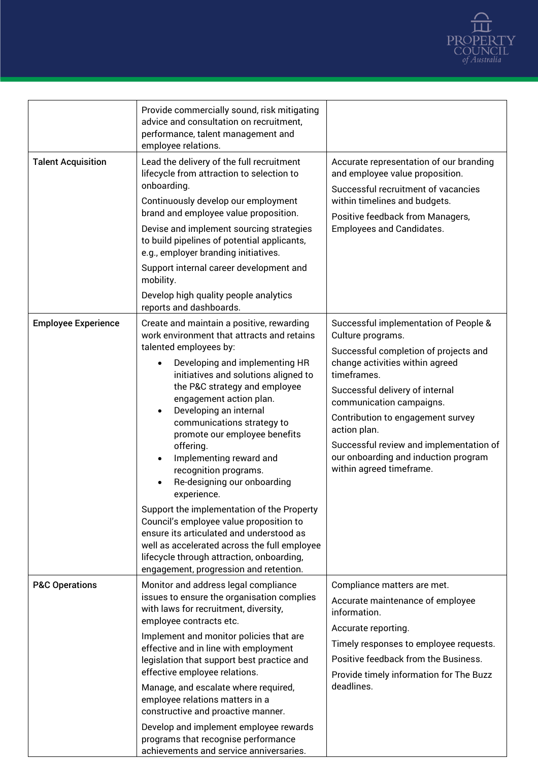

|                            | Provide commercially sound, risk mitigating<br>advice and consultation on recruitment,<br>performance, talent management and<br>employee relations.                                                                                                                                                                                                                                                                                                                                                                                                                                                                                                                                                                                                                                             |                                                                                                                                                                                                                                                                                                                                                                                          |
|----------------------------|-------------------------------------------------------------------------------------------------------------------------------------------------------------------------------------------------------------------------------------------------------------------------------------------------------------------------------------------------------------------------------------------------------------------------------------------------------------------------------------------------------------------------------------------------------------------------------------------------------------------------------------------------------------------------------------------------------------------------------------------------------------------------------------------------|------------------------------------------------------------------------------------------------------------------------------------------------------------------------------------------------------------------------------------------------------------------------------------------------------------------------------------------------------------------------------------------|
| <b>Talent Acquisition</b>  | Lead the delivery of the full recruitment<br>lifecycle from attraction to selection to<br>onboarding.<br>Continuously develop our employment<br>brand and employee value proposition.<br>Devise and implement sourcing strategies<br>to build pipelines of potential applicants,<br>e.g., employer branding initiatives.<br>Support internal career development and<br>mobility.<br>Develop high quality people analytics<br>reports and dashboards.                                                                                                                                                                                                                                                                                                                                            | Accurate representation of our branding<br>and employee value proposition.<br>Successful recruitment of vacancies<br>within timelines and budgets.<br>Positive feedback from Managers,<br><b>Employees and Candidates.</b>                                                                                                                                                               |
| <b>Employee Experience</b> | Create and maintain a positive, rewarding<br>work environment that attracts and retains<br>talented employees by:<br>Developing and implementing HR<br>$\bullet$<br>initiatives and solutions aligned to<br>the P&C strategy and employee<br>engagement action plan.<br>Developing an internal<br>$\bullet$<br>communications strategy to<br>promote our employee benefits<br>offering.<br>Implementing reward and<br>$\bullet$<br>recognition programs.<br>Re-designing our onboarding<br>$\bullet$<br>experience.<br>Support the implementation of the Property<br>Council's employee value proposition to<br>ensure its articulated and understood as<br>well as accelerated across the full employee<br>lifecycle through attraction, onboarding,<br>engagement, progression and retention. | Successful implementation of People &<br>Culture programs.<br>Successful completion of projects and<br>change activities within agreed<br>timeframes.<br>Successful delivery of internal<br>communication campaigns.<br>Contribution to engagement survey<br>action plan.<br>Successful review and implementation of<br>our onboarding and induction program<br>within agreed timeframe. |
| <b>P&amp;C Operations</b>  | Monitor and address legal compliance<br>issues to ensure the organisation complies<br>with laws for recruitment, diversity,<br>employee contracts etc.<br>Implement and monitor policies that are<br>effective and in line with employment<br>legislation that support best practice and<br>effective employee relations.<br>Manage, and escalate where required,<br>employee relations matters in a<br>constructive and proactive manner.<br>Develop and implement employee rewards<br>programs that recognise performance<br>achievements and service anniversaries.                                                                                                                                                                                                                          | Compliance matters are met.<br>Accurate maintenance of employee<br>information.<br>Accurate reporting.<br>Timely responses to employee requests.<br>Positive feedback from the Business.<br>Provide timely information for The Buzz<br>deadlines.                                                                                                                                        |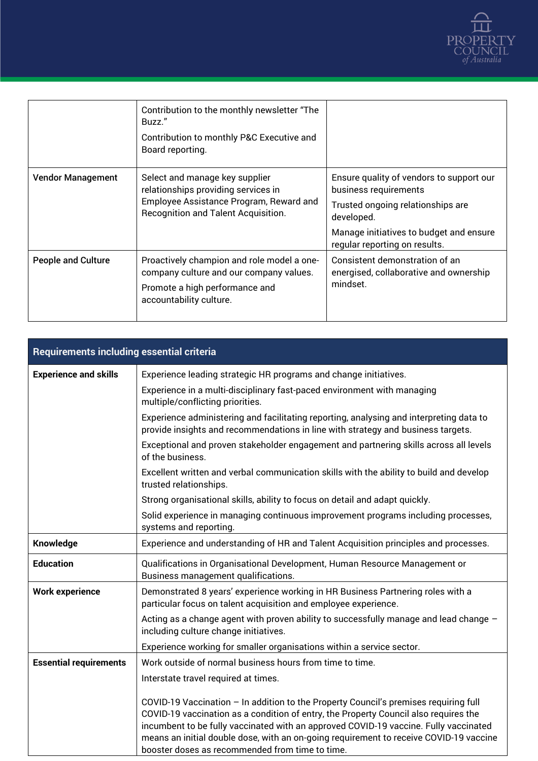

|                           | Contribution to the monthly newsletter "The<br>Buzz."<br>Contribution to monthly P&C Executive and<br>Board reporting.                                  |                                                                                      |
|---------------------------|---------------------------------------------------------------------------------------------------------------------------------------------------------|--------------------------------------------------------------------------------------|
| <b>Vendor Management</b>  | Select and manage key supplier<br>relationships providing services in<br>Employee Assistance Program, Reward and<br>Recognition and Talent Acquisition. | Ensure quality of vendors to support our<br>business requirements                    |
|                           |                                                                                                                                                         | Trusted ongoing relationships are<br>developed.                                      |
|                           |                                                                                                                                                         | Manage initiatives to budget and ensure<br>regular reporting on results.             |
| <b>People and Culture</b> | Proactively champion and role model a one-<br>company culture and our company values.                                                                   | Consistent demonstration of an<br>energised, collaborative and ownership<br>mindset. |
|                           | Promote a high performance and<br>accountability culture.                                                                                               |                                                                                      |

| <b>Requirements including essential criteria</b> |                                                                                                                                                                                                                                                                                                                                                                                                                   |  |
|--------------------------------------------------|-------------------------------------------------------------------------------------------------------------------------------------------------------------------------------------------------------------------------------------------------------------------------------------------------------------------------------------------------------------------------------------------------------------------|--|
| <b>Experience and skills</b>                     | Experience leading strategic HR programs and change initiatives.                                                                                                                                                                                                                                                                                                                                                  |  |
|                                                  | Experience in a multi-disciplinary fast-paced environment with managing<br>multiple/conflicting priorities.                                                                                                                                                                                                                                                                                                       |  |
|                                                  | Experience administering and facilitating reporting, analysing and interpreting data to<br>provide insights and recommendations in line with strategy and business targets.                                                                                                                                                                                                                                       |  |
|                                                  | Exceptional and proven stakeholder engagement and partnering skills across all levels<br>of the business.                                                                                                                                                                                                                                                                                                         |  |
|                                                  | Excellent written and verbal communication skills with the ability to build and develop<br>trusted relationships.                                                                                                                                                                                                                                                                                                 |  |
|                                                  | Strong organisational skills, ability to focus on detail and adapt quickly.                                                                                                                                                                                                                                                                                                                                       |  |
|                                                  | Solid experience in managing continuous improvement programs including processes,<br>systems and reporting.                                                                                                                                                                                                                                                                                                       |  |
| Knowledge                                        | Experience and understanding of HR and Talent Acquisition principles and processes.                                                                                                                                                                                                                                                                                                                               |  |
| <b>Education</b>                                 | Qualifications in Organisational Development, Human Resource Management or<br>Business management qualifications.                                                                                                                                                                                                                                                                                                 |  |
| <b>Work experience</b>                           | Demonstrated 8 years' experience working in HR Business Partnering roles with a<br>particular focus on talent acquisition and employee experience.                                                                                                                                                                                                                                                                |  |
|                                                  | Acting as a change agent with proven ability to successfully manage and lead change -<br>including culture change initiatives.                                                                                                                                                                                                                                                                                    |  |
|                                                  | Experience working for smaller organisations within a service sector.                                                                                                                                                                                                                                                                                                                                             |  |
| <b>Essential requirements</b>                    | Work outside of normal business hours from time to time.                                                                                                                                                                                                                                                                                                                                                          |  |
|                                                  | Interstate travel required at times.                                                                                                                                                                                                                                                                                                                                                                              |  |
|                                                  | COVID-19 Vaccination - In addition to the Property Council's premises requiring full<br>COVID-19 vaccination as a condition of entry, the Property Council also requires the<br>incumbent to be fully vaccinated with an approved COVID-19 vaccine. Fully vaccinated<br>means an initial double dose, with an on-going requirement to receive COVID-19 vaccine<br>booster doses as recommended from time to time. |  |